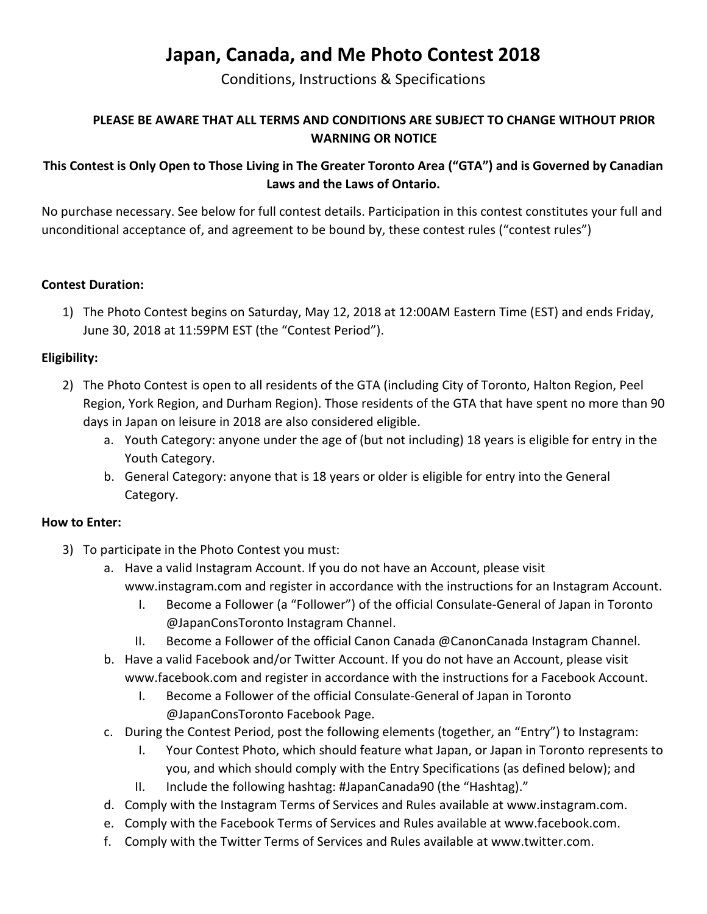# Japan, Canada, and Me Photo Contest 2018

Conditions, Instructions & Specifications

## PLEASE BE AWARE THAT ALL TERMS AND CONDITIONS ARE SUBJECT TO CHANGE WITHOUT PRIOR WARNING OR NOTICE

## This Contest is Only Open to Those Living in The Greater Toronto Area ("GTA") and is Governed by Canadian Laws and the Laws of Ontario.

No purchase necessary. See below for full contest details. Participation in this contest constitutes your full and unconditional acceptance of, and agreement to be bound by, these contest rules ("contest rules")

#### Contest Duration:

1) The Photo Contest begins on Saturday, May 12, 2018 at 12:00AM Eastern Time (EST) and ends Friday, June 30, 2018 at 11:59PM EST (the "Contest Period").

#### Eligibility:

- 2) The Photo Contest is open to all residents of the GTA (including City of Toronto, Halton Region, Peel Region, York Region, and Durham Region). Those residents of the GTA that have spent no more than 90 days in Japan on leisure in 2018 are also considered eligible.
	- a. Youth Category: anyone under the age of (but not including) 18 years is eligible for entry in the Youth Category.
	- b. General Category: anyone that is 18 years or older is eligible for entry into the General Category.

#### How to Enter:

- 3) To participate in the Photo Contest you must:
	- a. Have a valid Instagram Account. If you do not have an Account, please visit www.instagram.com and register in accordance with the instructions for an Instagram Account.
		- I. Become a Follower (a "Follower") of the official Consulate-General of Japan in Toronto @JapanConsToronto Instagram Channel.
		- II. Become a Follower of the official Canon Canada @CanonCanada Instagram Channel.
	- b. Have a valid Facebook and/or Twitter Account. If you do not have an Account, please visit www.facebook.com and register in accordance with the instructions for a Facebook Account.
		- I. Become a Follower of the official Consulate-General of Japan in Toronto @JapanConsToronto Facebook Page.
	- c. During the Contest Period, post the following elements (together, an "Entry") to Instagram:
		- I. Your Contest Photo, which should feature what Japan, or Japan in Toronto represents to you, and which should comply with the Entry Specifications (as defined below); and
		- II. Include the following hashtag: #JapanCanada90 (the "Hashtag)."
	- d. Comply with the Instagram Terms of Services and Rules available at www.instagram.com.
	- e. Comply with the Facebook Terms of Services and Rules available at www.facebook.com.
	- f. Comply with the Twitter Terms of Services and Rules available at www.twitter.com.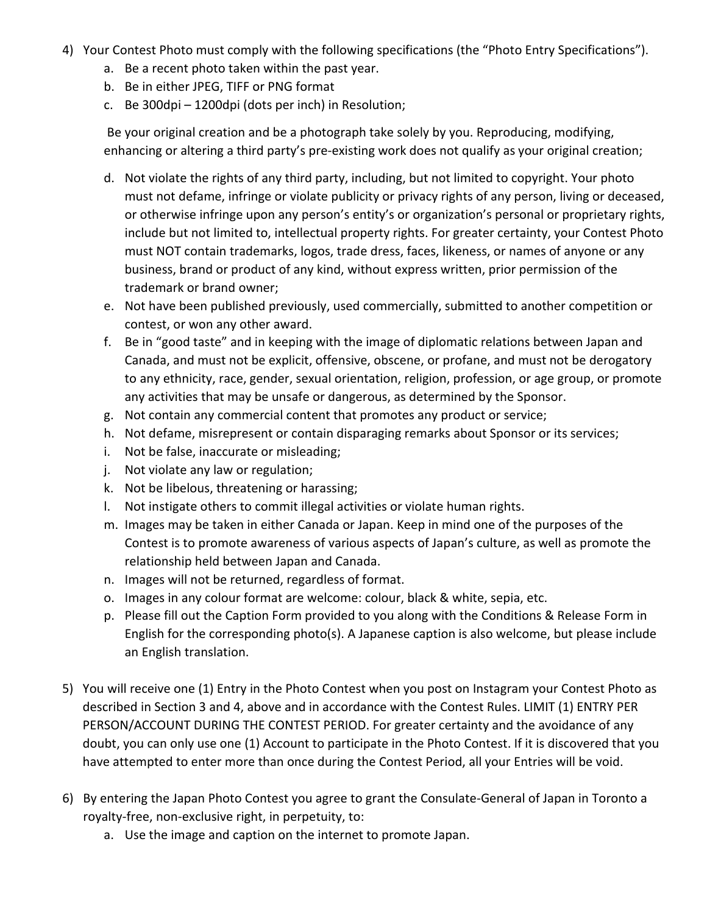- 4) Your Contest Photo must comply with the following specifications (the "Photo Entry Specifications").
	- a. Be a recent photo taken within the past year.
	- b. Be in either JPEG, TIFF or PNG format
	- c. Be 300dpi 1200dpi (dots per inch) in Resolution;

Be your original creation and be a photograph take solely by you. Reproducing, modifying, enhancing or altering a third party's pre-existing work does not qualify as your original creation;

- d. Not violate the rights of any third party, including, but not limited to copyright. Your photo must not defame, infringe or violate publicity or privacy rights of any person, living or deceased, or otherwise infringe upon any person's entity's or organization's personal or proprietary rights, include but not limited to, intellectual property rights. For greater certainty, your Contest Photo must NOT contain trademarks, logos, trade dress, faces, likeness, or names of anyone or any business, brand or product of any kind, without express written, prior permission of the trademark or brand owner;
- e. Not have been published previously, used commercially, submitted to another competition or contest, or won any other award.
- f. Be in "good taste" and in keeping with the image of diplomatic relations between Japan and Canada, and must not be explicit, offensive, obscene, or profane, and must not be derogatory to any ethnicity, race, gender, sexual orientation, religion, profession, or age group, or promote any activities that may be unsafe or dangerous, as determined by the Sponsor.
- g. Not contain any commercial content that promotes any product or service;
- h. Not defame, misrepresent or contain disparaging remarks about Sponsor or its services;
- i. Not be false, inaccurate or misleading;
- j. Not violate any law or regulation;
- k. Not be libelous, threatening or harassing;
- l. Not instigate others to commit illegal activities or violate human rights.
- m. Images may be taken in either Canada or Japan. Keep in mind one of the purposes of the Contest is to promote awareness of various aspects of Japan's culture, as well as promote the relationship held between Japan and Canada.
- n. Images will not be returned, regardless of format.
- o. Images in any colour format are welcome: colour, black & white, sepia, etc.
- p. Please fill out the Caption Form provided to you along with the Conditions & Release Form in English for the corresponding photo(s). A Japanese caption is also welcome, but please include an English translation.
- 5) You will receive one (1) Entry in the Photo Contest when you post on Instagram your Contest Photo as described in Section 3 and 4, above and in accordance with the Contest Rules. LIMIT (1) ENTRY PER PERSON/ACCOUNT DURING THE CONTEST PERIOD. For greater certainty and the avoidance of any doubt, you can only use one (1) Account to participate in the Photo Contest. If it is discovered that you have attempted to enter more than once during the Contest Period, all your Entries will be void.
- 6) By entering the Japan Photo Contest you agree to grant the Consulate-General of Japan in Toronto a royalty-free, non-exclusive right, in perpetuity, to:
	- a. Use the image and caption on the internet to promote Japan.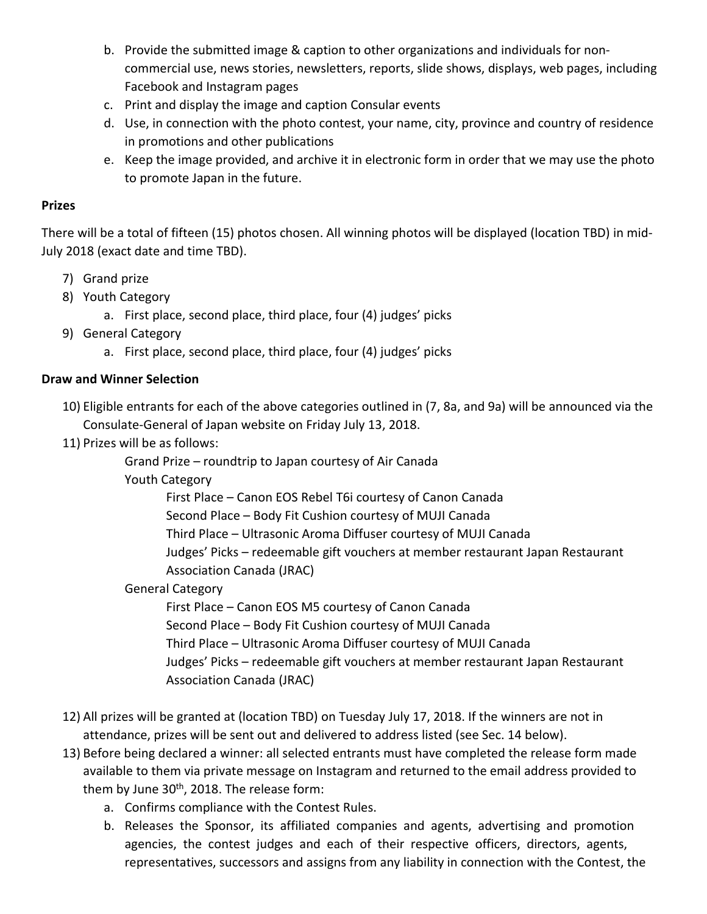- b. Provide the submitted image & caption to other organizations and individuals for noncommercial use, news stories, newsletters, reports, slide shows, displays, web pages, including Facebook and Instagram pages
- c. Print and display the image and caption Consular events
- d. Use, in connection with the photo contest, your name, city, province and country of residence in promotions and other publications
- e. Keep the image provided, and archive it in electronic form in order that we may use the photo to promote Japan in the future.

### Prizes

There will be a total of fifteen (15) photos chosen. All winning photos will be displayed (location TBD) in mid-July 2018 (exact date and time TBD).

- 7) Grand prize
- 8) Youth Category
	- a. First place, second place, third place, four (4) judges' picks
- 9) General Category
	- a. First place, second place, third place, four (4) judges' picks

## Draw and Winner Selection

- 10) Eligible entrants for each of the above categories outlined in (7, 8a, and 9a) will be announced via the Consulate-General of Japan website on Friday July 13, 2018.
- 11) Prizes will be as follows:

Grand Prize – roundtrip to Japan courtesy of Air Canada

Youth Category

First Place – Canon EOS Rebel T6i courtesy of Canon Canada

Second Place – Body Fit Cushion courtesy of MUJI Canada

Third Place – Ultrasonic Aroma Diffuser courtesy of MUJI Canada

Judges' Picks – redeemable gift vouchers at member restaurant Japan Restaurant Association Canada (JRAC)

General Category

First Place – Canon EOS M5 courtesy of Canon Canada Second Place – Body Fit Cushion courtesy of MUJI Canada Third Place – Ultrasonic Aroma Diffuser courtesy of MUJI Canada Judges' Picks – redeemable gift vouchers at member restaurant Japan Restaurant Association Canada (JRAC)

- 12) All prizes will be granted at (location TBD) on Tuesday July 17, 2018. If the winners are not in attendance, prizes will be sent out and delivered to address listed (see Sec. 14 below).
- 13) Before being declared a winner: all selected entrants must have completed the release form made available to them via private message on Instagram and returned to the email address provided to them by June  $30<sup>th</sup>$ , 2018. The release form:
	- a. Confirms compliance with the Contest Rules.
	- b. Releases the Sponsor, its affiliated companies and agents, advertising and promotion agencies, the contest judges and each of their respective officers, directors, agents, representatives, successors and assigns from any liability in connection with the Contest, the